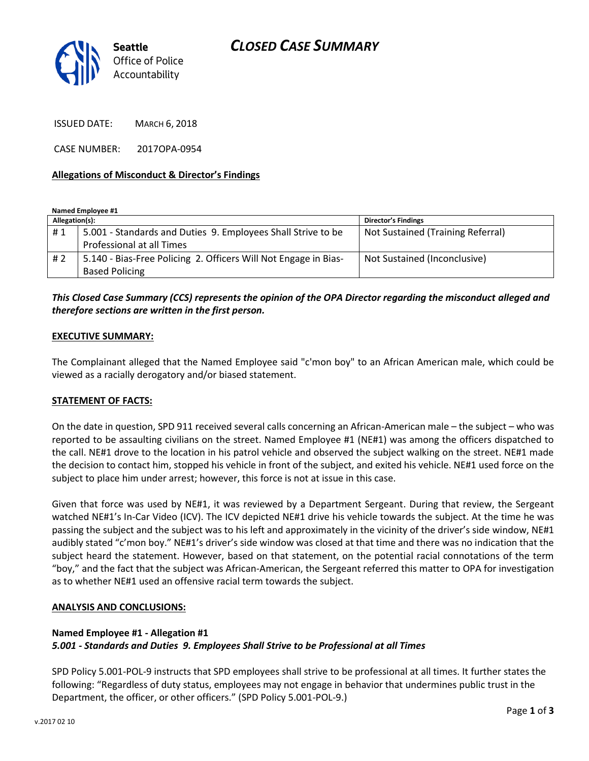

ISSUED DATE: MARCH 6, 2018

CASE NUMBER: 2017OPA-0954

#### **Allegations of Misconduct & Director's Findings**

**Named Employee #1**

| Allegation(s): |                                                                 | <b>Director's Findings</b>        |
|----------------|-----------------------------------------------------------------|-----------------------------------|
| #1             | 5.001 - Standards and Duties 9. Employees Shall Strive to be    | Not Sustained (Training Referral) |
|                | Professional at all Times                                       |                                   |
| #2             | 5.140 - Bias-Free Policing 2. Officers Will Not Engage in Bias- | Not Sustained (Inconclusive)      |
|                | <b>Based Policing</b>                                           |                                   |

## *This Closed Case Summary (CCS) represents the opinion of the OPA Director regarding the misconduct alleged and therefore sections are written in the first person.*

#### **EXECUTIVE SUMMARY:**

The Complainant alleged that the Named Employee said "c'mon boy" to an African American male, which could be viewed as a racially derogatory and/or biased statement.

### **STATEMENT OF FACTS:**

On the date in question, SPD 911 received several calls concerning an African-American male – the subject – who was reported to be assaulting civilians on the street. Named Employee #1 (NE#1) was among the officers dispatched to the call. NE#1 drove to the location in his patrol vehicle and observed the subject walking on the street. NE#1 made the decision to contact him, stopped his vehicle in front of the subject, and exited his vehicle. NE#1 used force on the subject to place him under arrest; however, this force is not at issue in this case.

Given that force was used by NE#1, it was reviewed by a Department Sergeant. During that review, the Sergeant watched NE#1's In-Car Video (ICV). The ICV depicted NE#1 drive his vehicle towards the subject. At the time he was passing the subject and the subject was to his left and approximately in the vicinity of the driver's side window, NE#1 audibly stated "c'mon boy." NE#1's driver's side window was closed at that time and there was no indication that the subject heard the statement. However, based on that statement, on the potential racial connotations of the term "boy," and the fact that the subject was African-American, the Sergeant referred this matter to OPA for investigation as to whether NE#1 used an offensive racial term towards the subject.

#### **ANALYSIS AND CONCLUSIONS:**

### **Named Employee #1 - Allegation #1** *5.001 - Standards and Duties 9. Employees Shall Strive to be Professional at all Times*

SPD Policy 5.001-POL-9 instructs that SPD employees shall strive to be professional at all times. It further states the following: "Regardless of duty status, employees may not engage in behavior that undermines public trust in the Department, the officer, or other officers." (SPD Policy 5.001-POL-9.)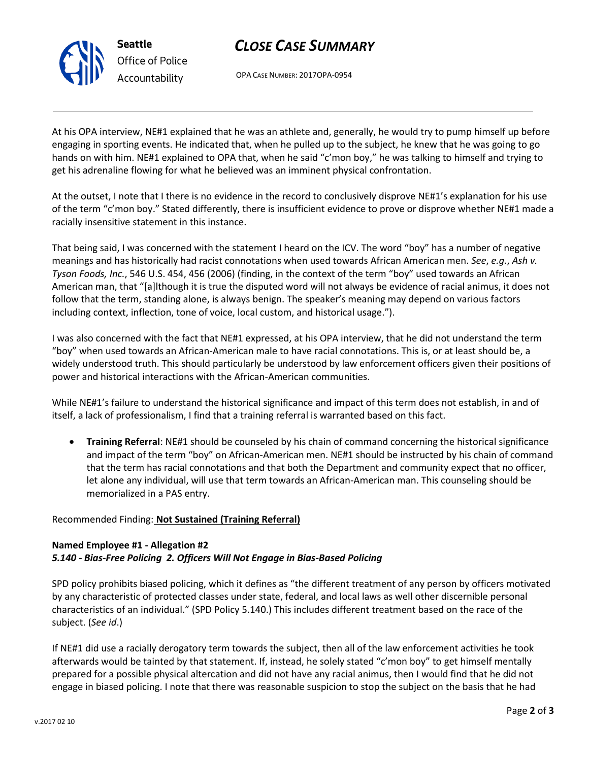

# *CLOSE CASE SUMMARY*

OPA CASE NUMBER: 2017OPA-0954

At his OPA interview, NE#1 explained that he was an athlete and, generally, he would try to pump himself up before engaging in sporting events. He indicated that, when he pulled up to the subject, he knew that he was going to go hands on with him. NE#1 explained to OPA that, when he said "c'mon boy," he was talking to himself and trying to get his adrenaline flowing for what he believed was an imminent physical confrontation.

At the outset, I note that I there is no evidence in the record to conclusively disprove NE#1's explanation for his use of the term "c'mon boy." Stated differently, there is insufficient evidence to prove or disprove whether NE#1 made a racially insensitive statement in this instance.

That being said, I was concerned with the statement I heard on the ICV. The word "boy" has a number of negative meanings and has historically had racist connotations when used towards African American men. *See*, *e.g.*, *Ash v. Tyson Foods, Inc.*, 546 U.S. 454, 456 (2006) (finding, in the context of the term "boy" used towards an African American man, that "[a]lthough it is true the disputed word will not always be evidence of racial animus, it does not follow that the term, standing alone, is always benign. The speaker's meaning may depend on various factors including context, inflection, tone of voice, local custom, and historical usage.").

I was also concerned with the fact that NE#1 expressed, at his OPA interview, that he did not understand the term "boy" when used towards an African-American male to have racial connotations. This is, or at least should be, a widely understood truth. This should particularly be understood by law enforcement officers given their positions of power and historical interactions with the African-American communities.

While NE#1's failure to understand the historical significance and impact of this term does not establish, in and of itself, a lack of professionalism, I find that a training referral is warranted based on this fact.

• **Training Referral**: NE#1 should be counseled by his chain of command concerning the historical significance and impact of the term "boy" on African-American men. NE#1 should be instructed by his chain of command that the term has racial connotations and that both the Department and community expect that no officer, let alone any individual, will use that term towards an African-American man. This counseling should be memorialized in a PAS entry.

## Recommended Finding: **Not Sustained (Training Referral)**

## **Named Employee #1 - Allegation #2** *5.140 - Bias-Free Policing 2. Officers Will Not Engage in Bias-Based Policing*

SPD policy prohibits biased policing, which it defines as "the different treatment of any person by officers motivated by any characteristic of protected classes under state, federal, and local laws as well other discernible personal characteristics of an individual." (SPD Policy 5.140.) This includes different treatment based on the race of the subject. (*See id*.)

If NE#1 did use a racially derogatory term towards the subject, then all of the law enforcement activities he took afterwards would be tainted by that statement. If, instead, he solely stated "c'mon boy" to get himself mentally prepared for a possible physical altercation and did not have any racial animus, then I would find that he did not engage in biased policing. I note that there was reasonable suspicion to stop the subject on the basis that he had